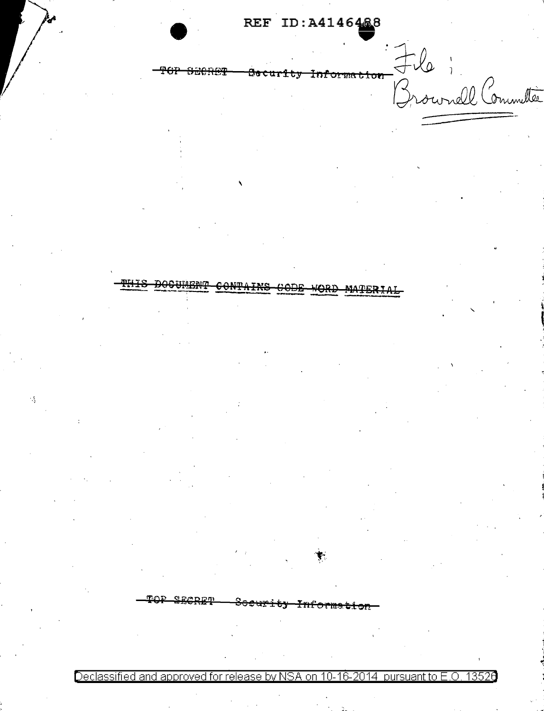REF ID: A4146468

<del>Information</del> Jle i <del>PGP</del> <del>Secher</del> <del>Becurity</del>

<del>docunen</del>t <del>contains</del> **MATERIA** 

 $\epsilon$ 

Declassified and approved for release by NSA on 10-16-2014 pursuant to E.O. 13526

<del>Informstig</del>

<del>Socurity</del>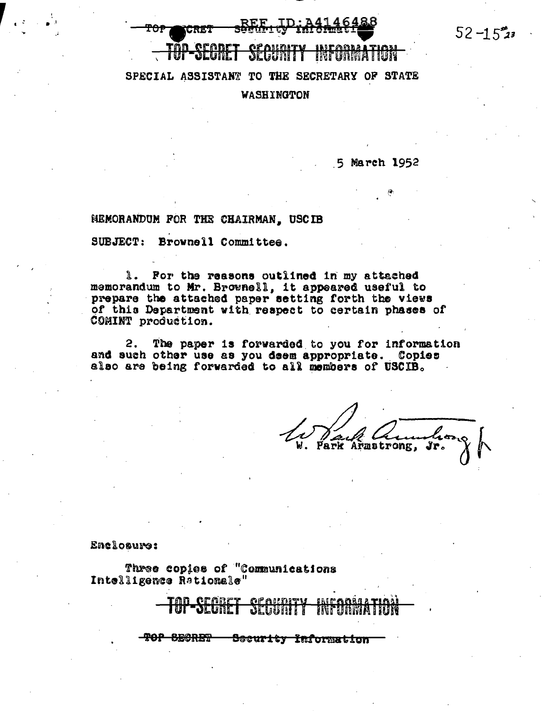$52 - 15$ 23

## SPECIAL ASSISTANT TO THE SECRETARY OF STATE WASHINGTON

5 March 1952

HEMORANDUM FOR THE CHAIRMAN, USCIB

SUBJECT: Brownell Committee.

1. For the reasons outlined in my attached memorandum to Mr. Brownell, it appeared useful to prepare the attached paper setting forth the views of this Department with respect to certain phases of COMINT production.

2. The paper is forwarded to you for information and such other use as you deem appropriate. Copies also are being forwarded to all members of USCIB.

ark Armstrong, Jr.

Enclosure:

Three copies of "Communications Intelligence Rationale"

**TOP SECRET** Security Information